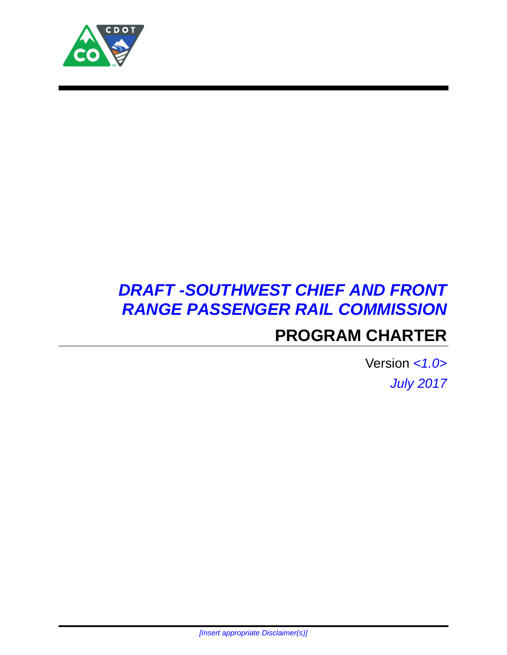

# *DRAFT -SOUTHWEST CHIEF AND FRONT RANGE PASSENGER RAIL COMMISSION* **PROGRAM CHARTER**

Version *<1.0> July 2017*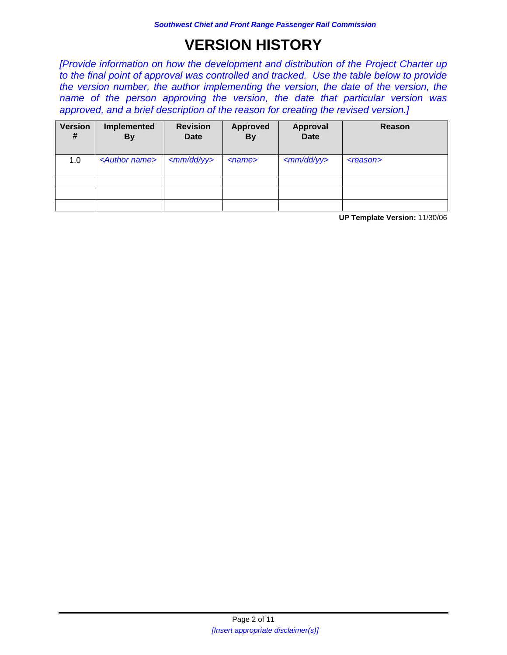# **VERSION HISTORY**

*[Provide information on how the development and distribution of the Project Charter up to the final point of approval was controlled and tracked. Use the table below to provide the version number, the author implementing the version, the date of the version, the name of the person approving the version, the date that particular version was approved, and a brief description of the reason for creating the revised version.]*

| <b>Version</b><br># | Implemented<br><b>By</b>  | <b>Revision</b><br>Date | <b>Approved</b><br><b>By</b> | <b>Approval</b><br><b>Date</b> | Reason         |
|---------------------|---------------------------|-------------------------|------------------------------|--------------------------------|----------------|
| 1.0                 | <author name=""></author> | $\mu$                   | $<$ name $>$                 | $\langle$ mm/dd/yy>            | $<$ reason $>$ |
|                     |                           |                         |                              |                                |                |
|                     |                           |                         |                              |                                |                |
|                     |                           |                         |                              |                                |                |

**UP Template Version:** 11/30/06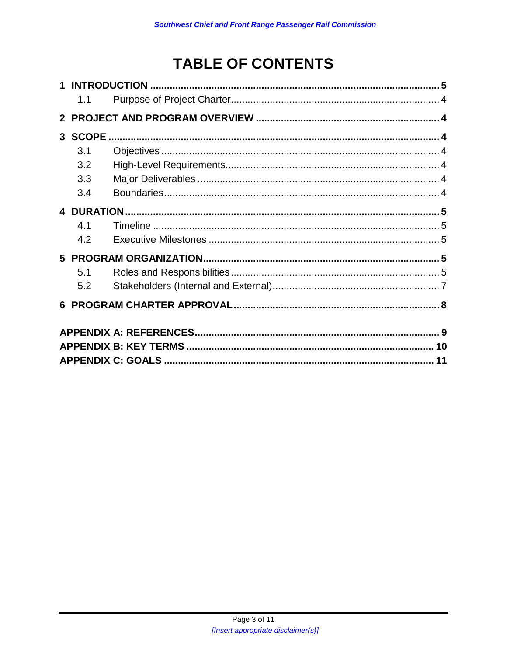# **TABLE OF CONTENTS**

| 1.1 |  |    |  |
|-----|--|----|--|
|     |  |    |  |
|     |  |    |  |
| 3.1 |  |    |  |
| 3.2 |  |    |  |
| 3.3 |  |    |  |
| 3.4 |  |    |  |
|     |  |    |  |
| 4.1 |  |    |  |
| 4.2 |  |    |  |
|     |  |    |  |
| 5.1 |  |    |  |
| 5.2 |  |    |  |
|     |  |    |  |
|     |  |    |  |
|     |  |    |  |
|     |  | 11 |  |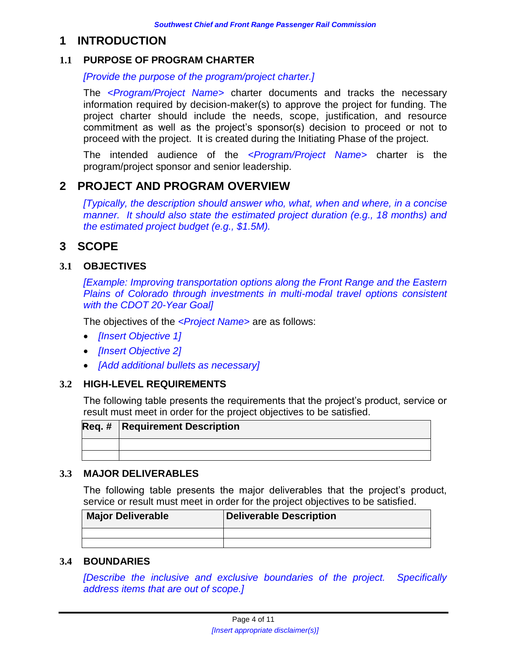## **1 INTRODUCTION**

#### <span id="page-3-0"></span>**1.1 PURPOSE OF PROGRAM CHARTER**

*[Provide the purpose of the program/project charter.]*

The *<Program/Project Name>* charter documents and tracks the necessary information required by decision-maker(s) to approve the project for funding. The project charter should include the needs, scope, justification, and resource commitment as well as the project's sponsor(s) decision to proceed or not to proceed with the project. It is created during the Initiating Phase of the project.

The intended audience of the *<Program/Project Name>* charter is the program/project sponsor and senior leadership.

## <span id="page-3-1"></span>**2 PROJECT AND PROGRAM OVERVIEW**

*[Typically, the description should answer who, what, when and where, in a concise manner. It should also state the estimated project duration (e.g., 18 months) and the estimated project budget (e.g., \$1.5M).* 

# <span id="page-3-2"></span>**3 SCOPE**

#### <span id="page-3-3"></span>**3.1 OBJECTIVES**

*[Example: Improving transportation options along the Front Range and the Eastern Plains of Colorado through investments in multi-modal travel options consistent with the CDOT 20-Year Goal]*

The objectives of the *<Project Name>* are as follows:

- *[Insert Objective 1]*
- *[Insert Objective 2]*
- *[Add additional bullets as necessary]*

#### <span id="page-3-4"></span>**3.2 HIGH-LEVEL REQUIREMENTS**

The following table presents the requirements that the project's product, service or result must meet in order for the project objectives to be satisfied.

| <b>Req. # Requirement Description</b> |
|---------------------------------------|
|                                       |
|                                       |

#### <span id="page-3-5"></span>**3.3 MAJOR DELIVERABLES**

The following table presents the major deliverables that the project's product, service or result must meet in order for the project objectives to be satisfied.

| <b>Major Deliverable</b> | <b>Deliverable Description</b> |
|--------------------------|--------------------------------|
|                          |                                |
|                          |                                |

#### <span id="page-3-6"></span>**3.4 BOUNDARIES**

*[Describe the inclusive and exclusive boundaries of the project. Specifically address items that are out of scope.]*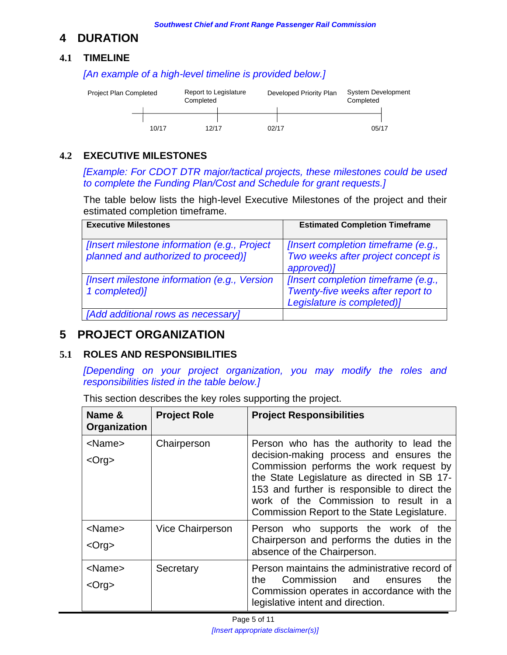# <span id="page-4-0"></span>**4 DURATION**

#### <span id="page-4-1"></span>**4.1 TIMELINE**

10/17 12/17 02/17 05/17 System Development Completed Report to Legislature Developed Priority Plan Completed Project Plan Completed

*[An example of a high-level timeline is provided below.]*

### <span id="page-4-2"></span>**4.2 EXECUTIVE MILESTONES**

*[Example: For CDOT DTR major/tactical projects, these milestones could be used to complete the Funding Plan/Cost and Schedule for grant requests.]*

The table below lists the high-level Executive Milestones of the project and their estimated completion timeframe.

| <b>Executive Milestones</b>                                                         | <b>Estimated Completion Timeframe</b>                                                                  |
|-------------------------------------------------------------------------------------|--------------------------------------------------------------------------------------------------------|
| [Insert milestone information (e.g., Project<br>planned and authorized to proceed)] | [Insert completion timeframe (e.g.,<br>Two weeks after project concept is<br>approved)]                |
| [Insert milestone information (e.g., Version<br>1 completed)]                       | [Insert completion timeframe (e.g.,<br>Twenty-five weeks after report to<br>Legislature is completed)] |
| [Add additional rows as necessary]                                                  |                                                                                                        |

### <span id="page-4-3"></span>**5 PROJECT ORGANIZATION**

#### <span id="page-4-4"></span>**5.1 ROLES AND RESPONSIBILITIES**

*[Depending on your project organization, you may modify the roles and responsibilities listed in the table below.]*

This section describes the key roles supporting the project.

| Name &<br>Organization                                  | <b>Project Role</b>     | <b>Project Responsibilities</b>                                                                                                                                                                                               |
|---------------------------------------------------------|-------------------------|-------------------------------------------------------------------------------------------------------------------------------------------------------------------------------------------------------------------------------|
| <name><br/><math>&lt;</math>Org<math>&gt;</math></name> | Chairperson             | Person who has the authority to lead the<br>decision-making process and ensures the<br>Commission performs the work request by<br>the State Legislature as directed in SB 17-<br>153 and further is responsible to direct the |
|                                                         |                         | work of the Commission to result in a<br>Commission Report to the State Legislature.                                                                                                                                          |
| <name></name>                                           | <b>Vice Chairperson</b> | Person who supports the work of the                                                                                                                                                                                           |
| $<$ Org $>$                                             |                         | Chairperson and performs the duties in the<br>absence of the Chairperson.                                                                                                                                                     |
| <name><br/><org></org></name>                           | Secretary               | Person maintains the administrative record of<br>Commission and<br>the.<br>the<br>ensures<br>Commission operates in accordance with the                                                                                       |
|                                                         |                         | legislative intent and direction.                                                                                                                                                                                             |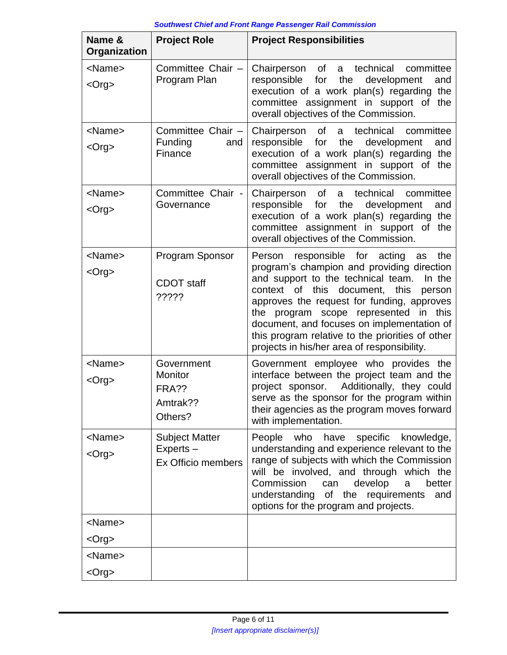| Name &<br>Organization        | <b>Project Role</b>                                     | <b>Project Responsibilities</b>                                                                                                                                                                                                                                                                                                                                                                                                    |
|-------------------------------|---------------------------------------------------------|------------------------------------------------------------------------------------------------------------------------------------------------------------------------------------------------------------------------------------------------------------------------------------------------------------------------------------------------------------------------------------------------------------------------------------|
| <name><br/><org></org></name> | Committee Chair -<br>Program Plan                       | of<br>technical<br>Chairperson<br>a<br>committee<br>for<br>the<br>responsible<br>development<br>and<br>execution of a work plan(s) regarding the<br>committee assignment in support of the<br>overall objectives of the Commission.                                                                                                                                                                                                |
| <name><br/><org></org></name> | Committee Chair -<br>Funding<br>and<br>Finance          | of<br>technical<br>Chairperson<br>a<br>committee<br>responsible for<br>the<br>development<br>and<br>execution of a work plan(s) regarding the<br>committee assignment in support of the<br>overall objectives of the Commission.                                                                                                                                                                                                   |
| <name><br/><org></org></name> | Committee Chair -<br>Governance                         | of<br>technical<br>Chairperson<br>committee<br>a<br>responsible<br>for<br>the<br>development<br>and<br>execution of a work plan(s) regarding the<br>committee assignment in support of the<br>overall objectives of the Commission.                                                                                                                                                                                                |
| <name><br/><org></org></name> | Program Sponsor<br><b>CDOT</b> staff<br>?????           | Person responsible for acting<br>the<br>as<br>program's champion and providing direction<br>and support to the technical team.<br>In the<br>context of this document,<br>this<br>person<br>approves the request for funding, approves<br>program scope represented in this<br>the<br>document, and focuses on implementation of<br>this program relative to the priorities of other<br>projects in his/her area of responsibility. |
| <name><br/><org></org></name> | Government<br>Monitor<br>FRA??<br>Amtrak??<br>Others?   | Government employee who provides the<br>interface between the project team and the<br>Additionally, they could<br>project sponsor.<br>serve as the sponsor for the program within<br>their agencies as the program moves forward<br>with implementation.                                                                                                                                                                           |
| <name><br/><org></org></name> | <b>Subject Matter</b><br>Experts-<br>Ex Officio members | People<br>who<br>have<br>specific<br>knowledge,<br>understanding and experience relevant to the<br>range of subjects with which the Commission<br>will be involved, and through which the<br>develop<br>Commission<br>better<br>can<br>a<br>understanding<br>of the requirements<br>and<br>options for the program and projects.                                                                                                   |
| <name><br/><org></org></name> |                                                         |                                                                                                                                                                                                                                                                                                                                                                                                                                    |
| <name><br/><org></org></name> |                                                         |                                                                                                                                                                                                                                                                                                                                                                                                                                    |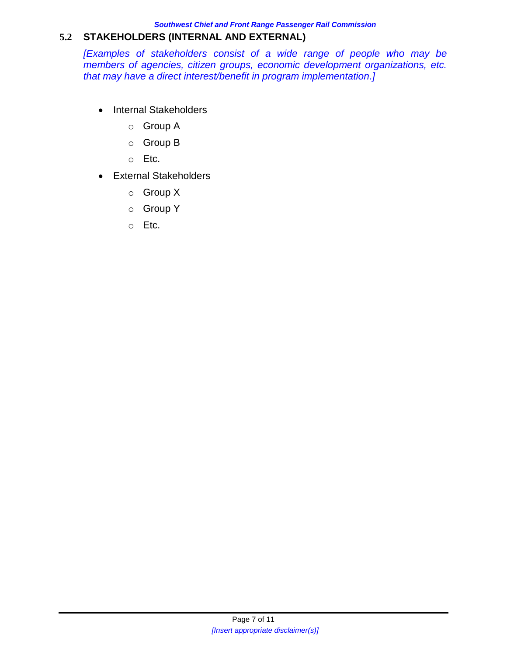*Southwest Chief and Front Range Passenger Rail Commission*

#### <span id="page-6-0"></span>**5.2 STAKEHOLDERS (INTERNAL AND EXTERNAL)**

*[Examples of stakeholders consist of a wide range of people who may be members of agencies, citizen groups, economic development organizations, etc. that may have a direct interest/benefit in program implementation.]*

- Internal Stakeholders
	- o Group A
	- o Group B
	- o Etc.
- External Stakeholders
	- o Group X
	- o Group Y
	- o Etc.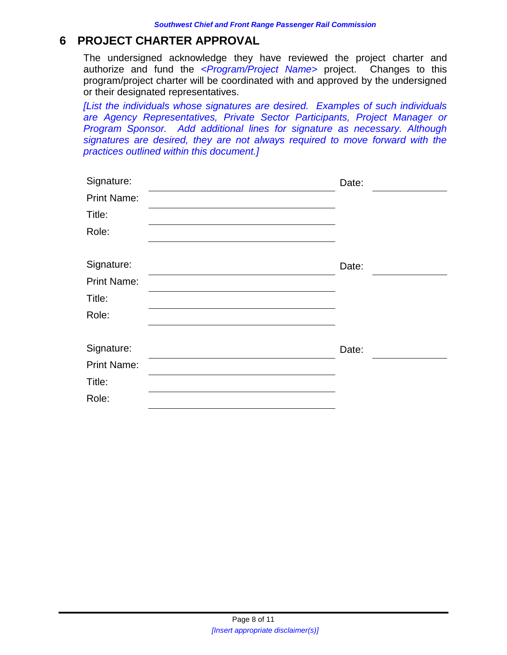## <span id="page-7-0"></span>**6 PROJECT CHARTER APPROVAL**

The undersigned acknowledge they have reviewed the project charter and authorize and fund the *<Program/Project Name>* project. Changes to this program/project charter will be coordinated with and approved by the undersigned or their designated representatives.

*[List the individuals whose signatures are desired. Examples of such individuals are Agency Representatives, Private Sector Participants, Project Manager or Program Sponsor. Add additional lines for signature as necessary. Although signatures are desired, they are not always required to move forward with the practices outlined within this document.]*

| Signature:         | Date: |
|--------------------|-------|
| <b>Print Name:</b> |       |
| Title:             |       |
| Role:              |       |
| Signature:         | Date: |
| <b>Print Name:</b> |       |
| Title:             |       |
| Role:              |       |
| Signature:         | Date: |
| <b>Print Name:</b> |       |
| Title:             |       |
| Role:              |       |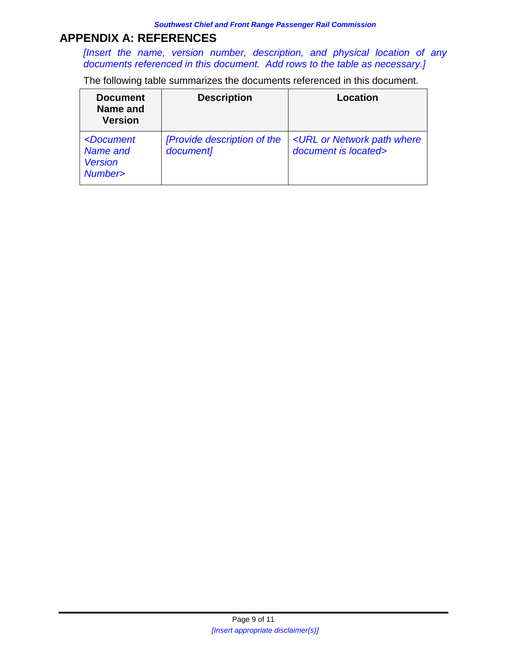## <span id="page-8-0"></span>**APPENDIX A: REFERENCES**

*[Insert the name, version number, description, and physical location of any documents referenced in this document. Add rows to the table as necessary.]* 

The following table summarizes the documents referenced in this document.

| <b>Document</b><br>Name and<br><b>Version</b>                         | <b>Description</b>                       | Location                                                                |
|-----------------------------------------------------------------------|------------------------------------------|-------------------------------------------------------------------------|
| <document<br>Name and<br/><b>Version</b><br/>Number&gt;</document<br> | [Provide description of the<br>document] | <url network="" or="" path="" where<br="">document is located&gt;</url> |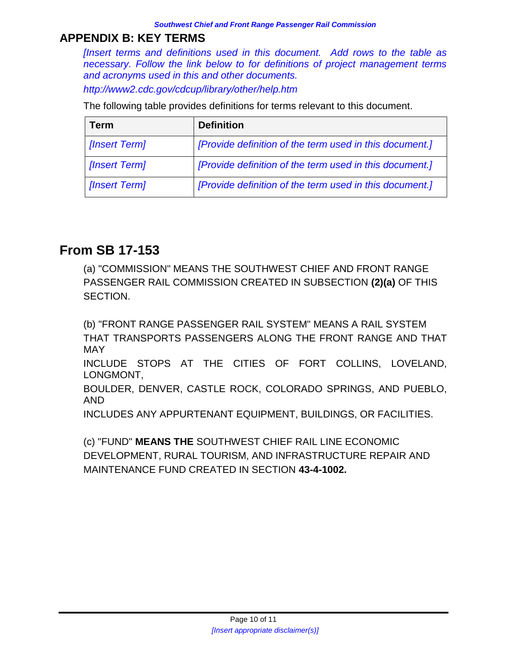# <span id="page-9-0"></span>**APPENDIX B: KEY TERMS**

*[Insert terms and definitions used in this document. Add rows to the table as necessary. Follow the link below to for definitions of project management terms and acronyms used in this and other documents.*

*http://www2.cdc.gov/cdcup/library/other/help.htm*

The following table provides definitions for terms relevant to this document.

| <b>Term</b>   | <b>Definition</b>                                       |
|---------------|---------------------------------------------------------|
| [Insert Term] | [Provide definition of the term used in this document.] |
| [Insert Term] | [Provide definition of the term used in this document.] |
| [Insert Term] | [Provide definition of the term used in this document.] |

# **From SB 17-153**

(a) "COMMISSION" MEANS THE SOUTHWEST CHIEF AND FRONT RANGE PASSENGER RAIL COMMISSION CREATED IN SUBSECTION **(2)(a)** OF THIS SECTION.

(b) "FRONT RANGE PASSENGER RAIL SYSTEM" MEANS A RAIL SYSTEM THAT TRANSPORTS PASSENGERS ALONG THE FRONT RANGE AND THAT MAY

INCLUDE STOPS AT THE CITIES OF FORT COLLINS, LOVELAND, LONGMONT,

BOULDER, DENVER, CASTLE ROCK, COLORADO SPRINGS, AND PUEBLO, AND

INCLUDES ANY APPURTENANT EQUIPMENT, BUILDINGS, OR FACILITIES.

(c) "FUND" **MEANS THE** SOUTHWEST CHIEF RAIL LINE ECONOMIC DEVELOPMENT, RURAL TOURISM, AND INFRASTRUCTURE REPAIR AND MAINTENANCE FUND CREATED IN SECTION **43-4-1002.**